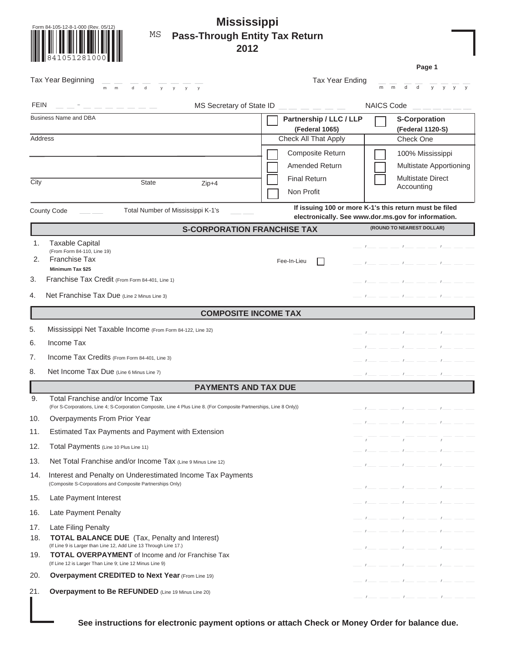| Form 84-105-12-8-1-000 (Rev. 05/12) |  |
|-------------------------------------|--|
|                                     |  |
|                                     |  |
|                                     |  |
| 841051281000                        |  |
|                                     |  |
|                                     |  |

 $FEN$ 

Tax Year Beginning  $\frac{1}{m}$   $\frac{1}{m}$   $\frac{1}{d}$   $\frac{1}{d}$   $\frac{1}{y}$   $\frac{1}{y}$ 

d  $y$  y  $y$  y  $y$ 

# **Mississippi** MS **Pass-Through Entity Tax Return 2012**

MS Secretary of State  $ID \_ \_ \_ \_ \_ \_ \_ \_ \_ \_$ Tax Year Ending  $\frac{1}{m}$   $\frac{1}{m}$   $\frac{1}{d}$   $\frac{1}{d}$   $\frac{1}{y}$   $\frac{1}{y}$   $\frac{1}{y}$   $\frac{1}{y}$ **S-Corporation (Federal 1120-S)** Check One 100% Mississippi **Page 1** 

|         | <b>Business Name and DBA</b>                                                                                                                              | Partnership / LLC / LLP                                |  | <b>S-Corporation</b>                                                                                                                                                                                                                                                                                                                                                 |  |
|---------|-----------------------------------------------------------------------------------------------------------------------------------------------------------|--------------------------------------------------------|--|----------------------------------------------------------------------------------------------------------------------------------------------------------------------------------------------------------------------------------------------------------------------------------------------------------------------------------------------------------------------|--|
|         |                                                                                                                                                           | (Federal 1065)                                         |  | (Federal 1120-S)                                                                                                                                                                                                                                                                                                                                                     |  |
| Address |                                                                                                                                                           | <b>Check All That Apply</b>                            |  | Check One                                                                                                                                                                                                                                                                                                                                                            |  |
|         |                                                                                                                                                           | Composite Return                                       |  | 100% Mississippi                                                                                                                                                                                                                                                                                                                                                     |  |
|         |                                                                                                                                                           | <b>Amended Return</b>                                  |  | Multistate Apportioning                                                                                                                                                                                                                                                                                                                                              |  |
| City    | <b>State</b><br>$Zip+4$                                                                                                                                   | <b>Final Return</b>                                    |  | <b>Multistate Direct</b>                                                                                                                                                                                                                                                                                                                                             |  |
|         |                                                                                                                                                           | Non Profit                                             |  | Accounting                                                                                                                                                                                                                                                                                                                                                           |  |
|         | County Code<br>Total Number of Mississippi K-1's                                                                                                          | If issuing 100 or more K-1's this return must be filed |  |                                                                                                                                                                                                                                                                                                                                                                      |  |
|         | <b>S-CORPORATION FRANCHISE TAX</b>                                                                                                                        | electronically. See www.dor.ms.gov for information.    |  | (ROUND TO NEAREST DOLLAR)                                                                                                                                                                                                                                                                                                                                            |  |
|         |                                                                                                                                                           |                                                        |  |                                                                                                                                                                                                                                                                                                                                                                      |  |
| 1.      | <b>Taxable Capital</b><br>(From Form 84-110, Line 19)                                                                                                     |                                                        |  | $\frac{1}{\sqrt{2}}$ $\frac{1}{\sqrt{2}}$ $\frac{1}{\sqrt{2}}$ $\frac{1}{\sqrt{2}}$ $\frac{1}{\sqrt{2}}$ $\frac{1}{\sqrt{2}}$ $\frac{1}{\sqrt{2}}$ $\frac{1}{\sqrt{2}}$ $\frac{1}{\sqrt{2}}$ $\frac{1}{\sqrt{2}}$ $\frac{1}{\sqrt{2}}$ $\frac{1}{\sqrt{2}}$ $\frac{1}{\sqrt{2}}$ $\frac{1}{\sqrt{2}}$ $\frac{1}{\sqrt{2}}$ $\frac{1}{\sqrt{2}}$ $\frac{1}{\sqrt{2}}$ |  |
| 2.      | <b>Franchise Tax</b>                                                                                                                                      | Fee-In-Lieu                                            |  | $l \sim l \sim l \sim l \sim l \sim l$                                                                                                                                                                                                                                                                                                                               |  |
|         | Minimum Tax \$25                                                                                                                                          |                                                        |  |                                                                                                                                                                                                                                                                                                                                                                      |  |
| 3.      | Franchise Tax Credit (From Form 84-401, Line 1)                                                                                                           |                                                        |  | $-1$ $   1$ $   1$                                                                                                                                                                                                                                                                                                                                                   |  |
| 4.      | Net Franchise Tax Due (Line 2 Minus Line 3)                                                                                                               |                                                        |  | $-l = -1$                                                                                                                                                                                                                                                                                                                                                            |  |
|         | <b>COMPOSITE INCOME TAX</b>                                                                                                                               |                                                        |  |                                                                                                                                                                                                                                                                                                                                                                      |  |
| 5.      | Mississippi Net Taxable Income (From Form 84-122, Line 32)                                                                                                |                                                        |  | $-1$ $-1$                                                                                                                                                                                                                                                                                                                                                            |  |
| 6.      | Income Tax                                                                                                                                                |                                                        |  |                                                                                                                                                                                                                                                                                                                                                                      |  |
| 7.      | Income Tax Credits (From Form 84-401, Line 3)                                                                                                             |                                                        |  | $-1$ $  1$ $  1$                                                                                                                                                                                                                                                                                                                                                     |  |
| 8.      | Net Income Tax Due (Line 6 Minus Line 7)                                                                                                                  |                                                        |  | $l \sim l \sim l \sim l \sim l \sim$                                                                                                                                                                                                                                                                                                                                 |  |
|         | <b>PAYMENTS AND TAX DUE</b>                                                                                                                               |                                                        |  |                                                                                                                                                                                                                                                                                                                                                                      |  |
| 9.      | Total Franchise and/or Income Tax<br>(For S-Corporations, Line 4; S-Corporation Composite, Line 4 Plus Line 8. (For Composite Partnerships, Line 8 Only)) |                                                        |  | $l \rightarrow l \rightarrow l \rightarrow l \rightarrow l \rightarrow l \rightarrow l$                                                                                                                                                                                                                                                                              |  |
| 10.     | Overpayments From Prior Year                                                                                                                              |                                                        |  | $I \longrightarrow I$                                                                                                                                                                                                                                                                                                                                                |  |
| 11.     | Estimated Tax Payments and Payment with Extension                                                                                                         |                                                        |  |                                                                                                                                                                                                                                                                                                                                                                      |  |
| 12.     | Total Payments (Line 10 Plus Line 11)                                                                                                                     |                                                        |  | $\mathcal{L}$<br>$-1$ $  1$ $   1$ $  -$                                                                                                                                                                                                                                                                                                                             |  |
| 13.     | Net Total Franchise and/or Income Tax (Line 9 Minus Line 12)                                                                                              |                                                        |  | $l \rightarrow l \rightarrow l \rightarrow l \rightarrow l \rightarrow l \rightarrow l$                                                                                                                                                                                                                                                                              |  |
| 14.     | Interest and Penalty on Underestimated Income Tax Payments<br>(Composite S-Corporations and Composite Partnerships Only)                                  |                                                        |  | $\frac{1}{1-\epsilon}$                                                                                                                                                                                                                                                                                                                                               |  |
| 15.     | Late Payment Interest                                                                                                                                     |                                                        |  | $l = l = l = l = l = l$                                                                                                                                                                                                                                                                                                                                              |  |
| 16.     | Late Payment Penalty                                                                                                                                      |                                                        |  | $-1$ $  1$ $   1$ $  -$                                                                                                                                                                                                                                                                                                                                              |  |
| 17.     | Late Filing Penalty                                                                                                                                       |                                                        |  | $-1$ - $-$ - $1$ - $-$ - $1$ - $-$                                                                                                                                                                                                                                                                                                                                   |  |
| 18.     | <b>TOTAL BALANCE DUE</b> (Tax, Penalty and Interest)                                                                                                      |                                                        |  |                                                                                                                                                                                                                                                                                                                                                                      |  |
| 19.     | (If Line 9 is Larger than Line 12, Add Line 13 Through Line 17.)<br><b>TOTAL OVERPAYMENT</b> of Income and /or Franchise Tax                              |                                                        |  | $-l = -1$                                                                                                                                                                                                                                                                                                                                                            |  |
|         | (If Line 12 is Larger Than Line 9; Line 12 Minus Line 9)                                                                                                  |                                                        |  | $-1$ $  1$ $  1$ $  -$                                                                                                                                                                                                                                                                                                                                               |  |
| 20.     | <b>Overpayment CREDITED to Next Year (From Line 19)</b>                                                                                                   |                                                        |  | $l = -1$                                                                                                                                                                                                                                                                                                                                                             |  |
| 21.     | Overpayment to Be REFUNDED (Line 19 Minus Line 20)                                                                                                        |                                                        |  | $   l$ $   l$ $  -$                                                                                                                                                                                                                                                                                                                                                  |  |
|         |                                                                                                                                                           |                                                        |  |                                                                                                                                                                                                                                                                                                                                                                      |  |

**See instructions for electronic payment options or attach Check or Money Order for balance due.**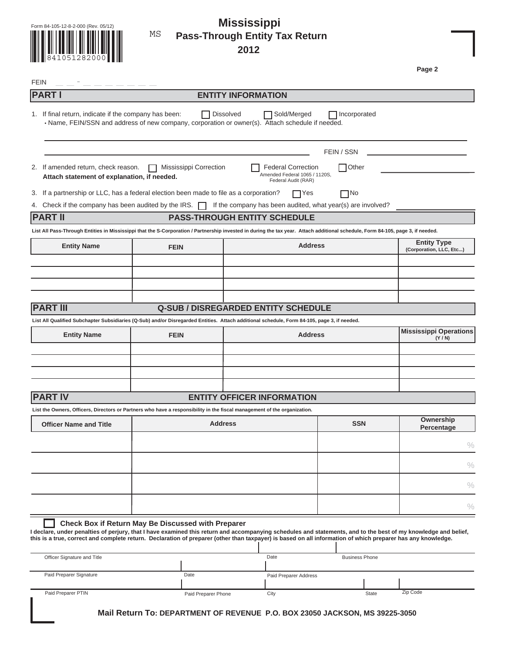|  | Form 84-105-12-8-2-000 (Rev. 05/12) |  |
|--|-------------------------------------|--|
|  |                                     |  |
|  |                                     |  |
|  |                                     |  |
|  |                                     |  |
|  | 841051282000                        |  |

#### Form 84-105-12-8-2-000 (Rev. 05/12) **Mississippi Pass-Through Entity Tax Return 2012** MS

**Page 2** 

| <b>PART I</b><br>1. If final return, indicate if the company has been:<br>• Name, FEIN/SSN and address of new company, corporation or owner(s). Attach schedule if needed.<br>2. If amended return, check reason.<br>Attach statement of explanation, if needed.<br>3. If a partnership or LLC, has a federal election been made to file as a corporation?<br>Check if the company has been audited by the IRS. $\Box$<br><b>Entity Name</b><br><b>FEIN</b><br><b>Entity Name</b><br><b>FEIN</b> | <b>Dissolved</b><br>Mississippi Correction | <b>ENTITY INFORMATION</b><br>Sold/Merged<br><b>Federal Correction</b><br>Amended Federal 1065 / 1120S,<br>Federal Audit (RAR)<br>$\Box$ Yes<br>If the company has been audited, what year(s) are involved?<br><b>PASS-THROUGH ENTITY SCHEDULE</b><br><b>Address</b><br><b>Q-SUB / DISREGARDED ENTITY SCHEDULE</b> | $\Box$ Incorporated<br>FEIN / SSN<br>$\Box$ Other<br>$\square$ No | <b>Entity Type</b><br>(Corporation, LLC, Etc) |
|--------------------------------------------------------------------------------------------------------------------------------------------------------------------------------------------------------------------------------------------------------------------------------------------------------------------------------------------------------------------------------------------------------------------------------------------------------------------------------------------------|--------------------------------------------|-------------------------------------------------------------------------------------------------------------------------------------------------------------------------------------------------------------------------------------------------------------------------------------------------------------------|-------------------------------------------------------------------|-----------------------------------------------|
|                                                                                                                                                                                                                                                                                                                                                                                                                                                                                                  |                                            |                                                                                                                                                                                                                                                                                                                   |                                                                   |                                               |
|                                                                                                                                                                                                                                                                                                                                                                                                                                                                                                  |                                            |                                                                                                                                                                                                                                                                                                                   |                                                                   |                                               |
|                                                                                                                                                                                                                                                                                                                                                                                                                                                                                                  |                                            |                                                                                                                                                                                                                                                                                                                   |                                                                   |                                               |
|                                                                                                                                                                                                                                                                                                                                                                                                                                                                                                  |                                            |                                                                                                                                                                                                                                                                                                                   |                                                                   |                                               |
| 4.                                                                                                                                                                                                                                                                                                                                                                                                                                                                                               |                                            |                                                                                                                                                                                                                                                                                                                   |                                                                   |                                               |
| <b>PART II</b><br>List All Pass-Through Entities in Mississippi that the S-Corporation / Partnership invested in during the tax year. Attach additional schedule, Form 84-105, page 3, if needed.                                                                                                                                                                                                                                                                                                |                                            |                                                                                                                                                                                                                                                                                                                   |                                                                   |                                               |
|                                                                                                                                                                                                                                                                                                                                                                                                                                                                                                  |                                            |                                                                                                                                                                                                                                                                                                                   |                                                                   |                                               |
|                                                                                                                                                                                                                                                                                                                                                                                                                                                                                                  |                                            |                                                                                                                                                                                                                                                                                                                   |                                                                   |                                               |
|                                                                                                                                                                                                                                                                                                                                                                                                                                                                                                  |                                            |                                                                                                                                                                                                                                                                                                                   |                                                                   |                                               |
| <b>PART III</b><br>List All Qualified Subchapter Subsidiaries (Q-Sub) and/or Disregarded Entities. Attach additional schedule, Form 84-105, page 3, if needed.                                                                                                                                                                                                                                                                                                                                   |                                            |                                                                                                                                                                                                                                                                                                                   |                                                                   |                                               |
|                                                                                                                                                                                                                                                                                                                                                                                                                                                                                                  |                                            |                                                                                                                                                                                                                                                                                                                   |                                                                   |                                               |
|                                                                                                                                                                                                                                                                                                                                                                                                                                                                                                  |                                            |                                                                                                                                                                                                                                                                                                                   |                                                                   |                                               |
|                                                                                                                                                                                                                                                                                                                                                                                                                                                                                                  |                                            |                                                                                                                                                                                                                                                                                                                   |                                                                   |                                               |
|                                                                                                                                                                                                                                                                                                                                                                                                                                                                                                  |                                            |                                                                                                                                                                                                                                                                                                                   |                                                                   |                                               |
|                                                                                                                                                                                                                                                                                                                                                                                                                                                                                                  |                                            |                                                                                                                                                                                                                                                                                                                   |                                                                   | <b>Mississippi Operations</b>                 |
|                                                                                                                                                                                                                                                                                                                                                                                                                                                                                                  |                                            | <b>Address</b>                                                                                                                                                                                                                                                                                                    |                                                                   | (Y/N)                                         |
|                                                                                                                                                                                                                                                                                                                                                                                                                                                                                                  |                                            |                                                                                                                                                                                                                                                                                                                   |                                                                   |                                               |
|                                                                                                                                                                                                                                                                                                                                                                                                                                                                                                  |                                            |                                                                                                                                                                                                                                                                                                                   |                                                                   |                                               |
|                                                                                                                                                                                                                                                                                                                                                                                                                                                                                                  |                                            |                                                                                                                                                                                                                                                                                                                   |                                                                   |                                               |
| <b>PART IV</b>                                                                                                                                                                                                                                                                                                                                                                                                                                                                                   |                                            |                                                                                                                                                                                                                                                                                                                   |                                                                   |                                               |
|                                                                                                                                                                                                                                                                                                                                                                                                                                                                                                  |                                            | <b>ENTITY OFFICER INFORMATION</b>                                                                                                                                                                                                                                                                                 |                                                                   |                                               |
| List the Owners, Officers, Directors or Partners who have a responsibility in the fiscal management of the organization.                                                                                                                                                                                                                                                                                                                                                                         |                                            |                                                                                                                                                                                                                                                                                                                   |                                                                   | Ownership                                     |
| <b>Officer Name and Title</b>                                                                                                                                                                                                                                                                                                                                                                                                                                                                    | <b>Address</b>                             |                                                                                                                                                                                                                                                                                                                   | <b>SSN</b>                                                        | Percentage                                    |
|                                                                                                                                                                                                                                                                                                                                                                                                                                                                                                  |                                            |                                                                                                                                                                                                                                                                                                                   |                                                                   | $\%$                                          |
|                                                                                                                                                                                                                                                                                                                                                                                                                                                                                                  |                                            |                                                                                                                                                                                                                                                                                                                   |                                                                   |                                               |
|                                                                                                                                                                                                                                                                                                                                                                                                                                                                                                  |                                            |                                                                                                                                                                                                                                                                                                                   |                                                                   | $\%$                                          |
|                                                                                                                                                                                                                                                                                                                                                                                                                                                                                                  |                                            |                                                                                                                                                                                                                                                                                                                   |                                                                   | $\%$                                          |
|                                                                                                                                                                                                                                                                                                                                                                                                                                                                                                  |                                            |                                                                                                                                                                                                                                                                                                                   |                                                                   | $\%$                                          |
| Check Box if Return May Be Discussed with Preparer                                                                                                                                                                                                                                                                                                                                                                                                                                               |                                            |                                                                                                                                                                                                                                                                                                                   |                                                                   |                                               |
| I declare, under penalties of perjury, that I have examined this return and accompanying schedules and statements, and to the best of my knowledge and belief,<br>this is a true, correct and complete return. Declaration of preparer (other than taxpayer) is based on all information of which preparer has any knowledge.                                                                                                                                                                    |                                            |                                                                                                                                                                                                                                                                                                                   |                                                                   |                                               |
| Officer Signature and Title                                                                                                                                                                                                                                                                                                                                                                                                                                                                      |                                            | Date                                                                                                                                                                                                                                                                                                              | <b>Business Phone</b>                                             |                                               |
| Paid Preparer Signature                                                                                                                                                                                                                                                                                                                                                                                                                                                                          | Date                                       | Paid Preparer Address                                                                                                                                                                                                                                                                                             |                                                                   |                                               |
|                                                                                                                                                                                                                                                                                                                                                                                                                                                                                                  |                                            |                                                                                                                                                                                                                                                                                                                   |                                                                   |                                               |
| Paid Preparer PTIN                                                                                                                                                                                                                                                                                                                                                                                                                                                                               | Paid Preparer Phone                        | City                                                                                                                                                                                                                                                                                                              | State                                                             | Zip Code                                      |
|                                                                                                                                                                                                                                                                                                                                                                                                                                                                                                  |                                            | Mail Return To: DEPARTMENT OF REVENUE P.O. BOX 23050 JACKSON, MS 39225-3050                                                                                                                                                                                                                                       |                                                                   |                                               |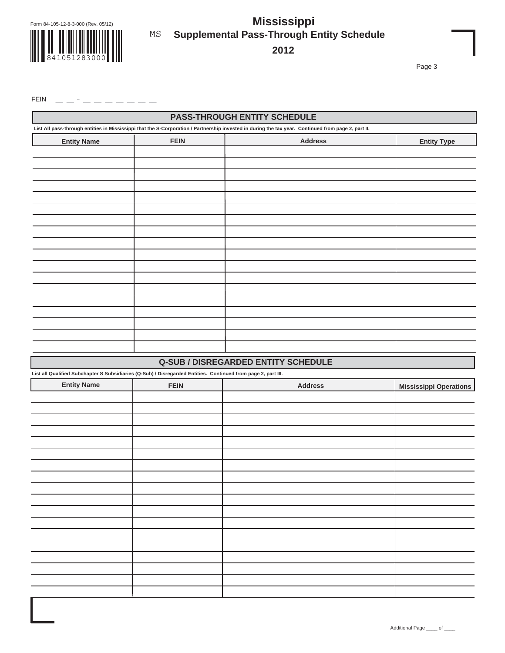

# **THE REAL PROPERTY** 841051283000

## **Supplemental Pass-Through Entity Schedule Mississippi** MS

**2012**

Page 3

FEIN

|                                                                                                               |             | <b>PASS-THROUGH ENTITY SCHEDULE</b>                                                                                                                 |                               |
|---------------------------------------------------------------------------------------------------------------|-------------|-----------------------------------------------------------------------------------------------------------------------------------------------------|-------------------------------|
|                                                                                                               |             | List All pass-through entities in Mississippi that the S-Corporation / Partnership invested in during the tax year. Continued from page 2, part II. |                               |
| <b>Entity Name</b>                                                                                            | <b>FEIN</b> | <b>Address</b>                                                                                                                                      | <b>Entity Type</b>            |
|                                                                                                               |             |                                                                                                                                                     |                               |
|                                                                                                               |             |                                                                                                                                                     |                               |
|                                                                                                               |             |                                                                                                                                                     |                               |
|                                                                                                               |             |                                                                                                                                                     |                               |
|                                                                                                               |             |                                                                                                                                                     |                               |
|                                                                                                               |             |                                                                                                                                                     |                               |
|                                                                                                               |             |                                                                                                                                                     |                               |
|                                                                                                               |             |                                                                                                                                                     |                               |
|                                                                                                               |             |                                                                                                                                                     |                               |
|                                                                                                               |             |                                                                                                                                                     |                               |
|                                                                                                               |             |                                                                                                                                                     |                               |
|                                                                                                               |             |                                                                                                                                                     |                               |
|                                                                                                               |             |                                                                                                                                                     |                               |
|                                                                                                               |             |                                                                                                                                                     |                               |
|                                                                                                               |             |                                                                                                                                                     |                               |
|                                                                                                               |             |                                                                                                                                                     |                               |
|                                                                                                               |             |                                                                                                                                                     |                               |
|                                                                                                               |             |                                                                                                                                                     |                               |
|                                                                                                               |             |                                                                                                                                                     |                               |
|                                                                                                               |             |                                                                                                                                                     |                               |
|                                                                                                               |             | <b>Q-SUB / DISREGARDED ENTITY SCHEDULE</b>                                                                                                          |                               |
|                                                                                                               |             |                                                                                                                                                     |                               |
| <b>Entity Name</b>                                                                                            | <b>FEIN</b> | <b>Address</b>                                                                                                                                      | <b>Mississippi Operations</b> |
|                                                                                                               |             |                                                                                                                                                     |                               |
|                                                                                                               |             |                                                                                                                                                     |                               |
|                                                                                                               |             |                                                                                                                                                     |                               |
|                                                                                                               |             |                                                                                                                                                     |                               |
|                                                                                                               |             |                                                                                                                                                     |                               |
|                                                                                                               |             |                                                                                                                                                     |                               |
|                                                                                                               |             |                                                                                                                                                     |                               |
|                                                                                                               |             |                                                                                                                                                     |                               |
|                                                                                                               |             |                                                                                                                                                     |                               |
|                                                                                                               |             |                                                                                                                                                     |                               |
|                                                                                                               |             |                                                                                                                                                     |                               |
| List all Qualified Subchapter S Subsidiaries (Q-Sub) / Disregarded Entities. Continued from page 2, part III. |             |                                                                                                                                                     |                               |
|                                                                                                               |             |                                                                                                                                                     |                               |
|                                                                                                               |             |                                                                                                                                                     |                               |
|                                                                                                               |             |                                                                                                                                                     |                               |
|                                                                                                               |             |                                                                                                                                                     |                               |
|                                                                                                               |             |                                                                                                                                                     |                               |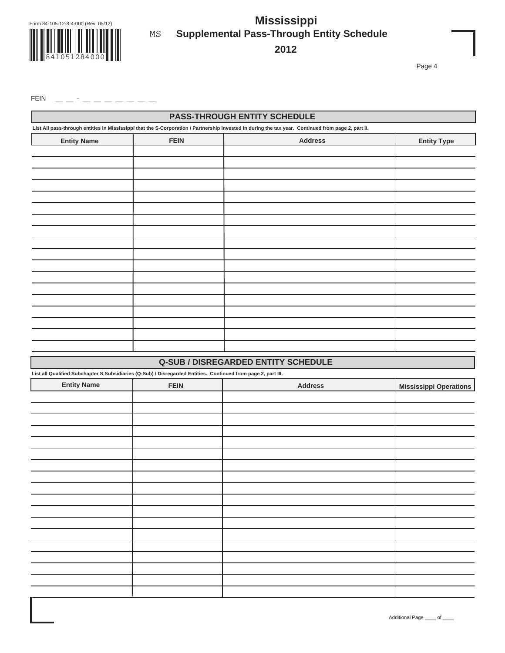

**841051284000** 

### **Supplemental Pass-Through Entity Schedule Mississippi** MS

**2012**

Page 4

 $FEN$ 

|                                                                                                               |             | <b>PASS-THROUGH ENTITY SCHEDULE</b><br>List All pass-through entities in Mississippi that the S-Corporation / Partnership invested in during the tax year. Continued from page 2, part II. |                               |
|---------------------------------------------------------------------------------------------------------------|-------------|--------------------------------------------------------------------------------------------------------------------------------------------------------------------------------------------|-------------------------------|
|                                                                                                               |             |                                                                                                                                                                                            |                               |
| <b>Entity Name</b>                                                                                            | <b>FEIN</b> | <b>Address</b>                                                                                                                                                                             | <b>Entity Type</b>            |
|                                                                                                               |             |                                                                                                                                                                                            |                               |
|                                                                                                               |             |                                                                                                                                                                                            |                               |
|                                                                                                               |             |                                                                                                                                                                                            |                               |
|                                                                                                               |             |                                                                                                                                                                                            |                               |
|                                                                                                               |             |                                                                                                                                                                                            |                               |
|                                                                                                               |             |                                                                                                                                                                                            |                               |
|                                                                                                               |             |                                                                                                                                                                                            |                               |
|                                                                                                               |             |                                                                                                                                                                                            |                               |
|                                                                                                               |             |                                                                                                                                                                                            |                               |
|                                                                                                               |             |                                                                                                                                                                                            |                               |
|                                                                                                               |             |                                                                                                                                                                                            |                               |
|                                                                                                               |             |                                                                                                                                                                                            |                               |
|                                                                                                               |             |                                                                                                                                                                                            |                               |
|                                                                                                               |             |                                                                                                                                                                                            |                               |
|                                                                                                               |             |                                                                                                                                                                                            |                               |
|                                                                                                               |             |                                                                                                                                                                                            |                               |
|                                                                                                               |             |                                                                                                                                                                                            |                               |
|                                                                                                               |             |                                                                                                                                                                                            |                               |
|                                                                                                               |             | <b>Q-SUB / DISREGARDED ENTITY SCHEDULE</b>                                                                                                                                                 |                               |
| List all Qualified Subchapter S Subsidiaries (Q-Sub) / Disregarded Entities. Continued from page 2, part III. |             |                                                                                                                                                                                            |                               |
| <b>Entity Name</b>                                                                                            | <b>FEIN</b> | <b>Address</b>                                                                                                                                                                             | <b>Mississippi Operations</b> |
|                                                                                                               |             |                                                                                                                                                                                            |                               |
|                                                                                                               |             |                                                                                                                                                                                            |                               |
|                                                                                                               |             |                                                                                                                                                                                            |                               |
|                                                                                                               |             |                                                                                                                                                                                            |                               |
|                                                                                                               |             |                                                                                                                                                                                            |                               |
|                                                                                                               |             |                                                                                                                                                                                            |                               |
|                                                                                                               |             |                                                                                                                                                                                            |                               |
|                                                                                                               |             |                                                                                                                                                                                            |                               |
|                                                                                                               |             |                                                                                                                                                                                            |                               |
|                                                                                                               |             |                                                                                                                                                                                            |                               |
|                                                                                                               |             |                                                                                                                                                                                            |                               |
|                                                                                                               |             |                                                                                                                                                                                            |                               |
|                                                                                                               |             |                                                                                                                                                                                            |                               |
|                                                                                                               |             |                                                                                                                                                                                            |                               |
|                                                                                                               |             |                                                                                                                                                                                            |                               |
|                                                                                                               |             |                                                                                                                                                                                            |                               |

Additional Page \_\_\_\_ of \_\_\_\_